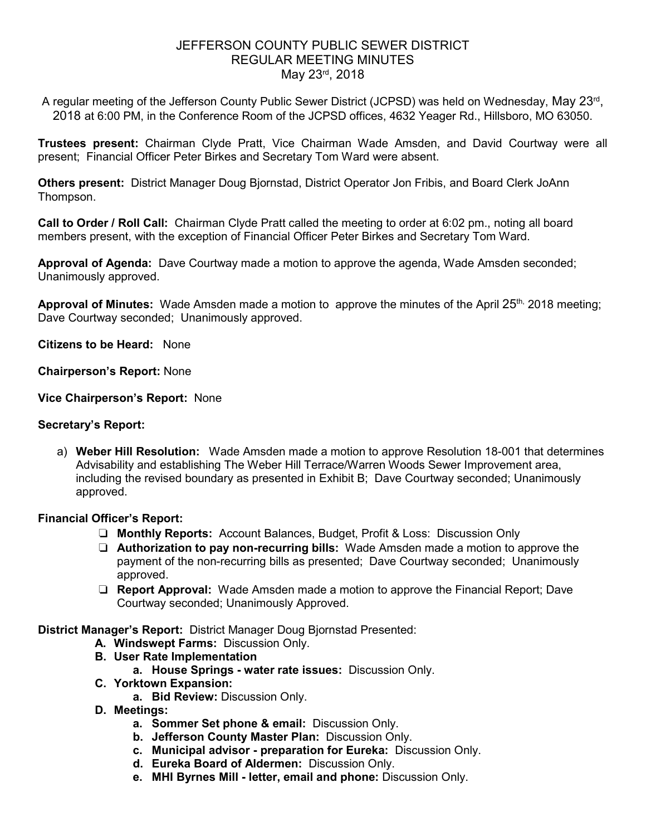# JEFFERSON COUNTY PUBLIC SEWER DISTRICT REGULAR MEETING MINUTES May 23rd, 2018

A regular meeting of the Jefferson County Public Sewer District (JCPSD) was held on Wednesday, May 23<sup>rd</sup>, 2018 at 6:00 PM, in the Conference Room of the JCPSD offices, 4632 Yeager Rd., Hillsboro, MO 63050.

**Trustees present:** Chairman Clyde Pratt, Vice Chairman Wade Amsden, and David Courtway were all present; Financial Officer Peter Birkes and Secretary Tom Ward were absent.

**Others present:** District Manager Doug Bjornstad, District Operator Jon Fribis, and Board Clerk JoAnn Thompson.

**Call to Order / Roll Call:** Chairman Clyde Pratt called the meeting to order at 6:02 pm., noting all board members present, with the exception of Financial Officer Peter Birkes and Secretary Tom Ward.

**Approval of Agenda:** Dave Courtway made a motion to approve the agenda, Wade Amsden seconded; Unanimously approved.

Approval of Minutes: Wade Amsden made a motion to approve the minutes of the April 25<sup>th,</sup> 2018 meeting; Dave Courtway seconded; Unanimously approved.

**Citizens to be Heard:** None

**Chairperson's Report:** None

**Vice Chairperson's Report:** None

#### **Secretary's Report:**

a) **Weber Hill Resolution:** Wade Amsden made a motion to approve Resolution 18-001 that determines Advisability and establishing The Weber Hill Terrace/Warren Woods Sewer Improvement area, including the revised boundary as presented in Exhibit B; Dave Courtway seconded; Unanimously approved.

## **Financial Officer's Report:**

- ❏ **Monthly Reports:** Account Balances, Budget, Profit & Loss: Discussion Only
- ❏ **Authorization to pay non-recurring bills:** Wade Amsden made a motion to approve the payment of the non-recurring bills as presented; Dave Courtway seconded; Unanimously approved.
- ❏ **Report Approval:** Wade Amsden made a motion to approve the Financial Report; Dave Courtway seconded; Unanimously Approved.

**District Manager's Report:** District Manager Doug Bjornstad Presented:

- **A. Windswept Farms:** Discussion Only.
- **B. User Rate Implementation** 
	- **a. House Springs water rate issues:** Discussion Only.
- **C. Yorktown Expansion:** 
	- **a. Bid Review:** Discussion Only.
- **D. Meetings:** 
	- **a. Sommer Set phone & email:** Discussion Only.
	- **b. Jefferson County Master Plan:** Discussion Only.
	- **c. Municipal advisor preparation for Eureka:** Discussion Only.
	- **d. Eureka Board of Aldermen:** Discussion Only.
	- **e. MHI Byrnes Mill letter, email and phone:** Discussion Only.